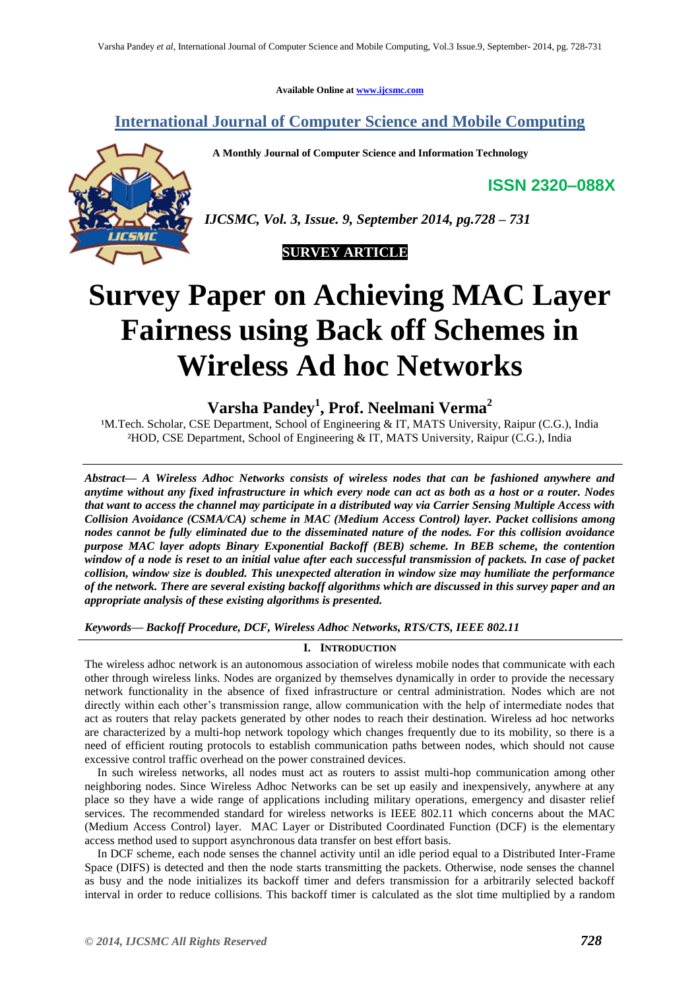**Available Online at [www.ijcsmc.com](http://www.ijcsmc.com/)**

## **International Journal of Computer Science and Mobile Computing**

 **A Monthly Journal of Computer Science and Information Technology**

**ISSN 2320–088X**



*IJCSMC, Vol. 3, Issue. 9, September 2014, pg.728 – 731*



# **Survey Paper on Achieving MAC Layer Fairness using Back off Schemes in Wireless Ad hoc Networks**

**Varsha Pandey<sup>1</sup> , Prof. Neelmani Verma<sup>2</sup>**

<sup>1</sup>M.Tech. Scholar, CSE Department, School of Engineering & IT, MATS University, Raipur (C.G.), India ²HOD, CSE Department, School of Engineering & IT, MATS University, Raipur (C.G.), India

*Abstract— A Wireless Adhoc Networks consists of wireless nodes that can be fashioned anywhere and anytime without any fixed infrastructure in which every node can act as both as a host or a router. Nodes that want to access the channel may participate in a distributed way via Carrier Sensing Multiple Access with Collision Avoidance (CSMA/CA) scheme in MAC (Medium Access Control) layer. Packet collisions among nodes cannot be fully eliminated due to the disseminated nature of the nodes. For this collision avoidance purpose MAC layer adopts Binary Exponential Backoff (BEB) scheme. In BEB scheme, the contention window of a node is reset to an initial value after each successful transmission of packets. In case of packet collision, window size is doubled. This unexpected alteration in window size may humiliate the performance of the network. There are several existing backoff algorithms which are discussed in this survey paper and an appropriate analysis of these existing algorithms is presented.*

*Keywords— Backoff Procedure, DCF, Wireless Adhoc Networks, RTS/CTS, IEEE 802.11*

### **I. INTRODUCTION**

The wireless adhoc network is an autonomous association of wireless mobile nodes that communicate with each other through wireless links. Nodes are organized by themselves dynamically in order to provide the necessary network functionality in the absence of fixed infrastructure or central administration. Nodes which are not directly within each other's transmission range, allow communication with the help of intermediate nodes that act as routers that relay packets generated by other nodes to reach their destination. Wireless ad hoc networks are characterized by a multi-hop network topology which changes frequently due to its mobility, so there is a need of efficient routing protocols to establish communication paths between nodes, which should not cause excessive control traffic overhead on the power constrained devices.

In such wireless networks, all nodes must act as routers to assist multi-hop communication among other neighboring nodes. Since Wireless Adhoc Networks can be set up easily and inexpensively, anywhere at any place so they have a wide range of applications including military operations, emergency and disaster relief services. The recommended standard for wireless networks is IEEE 802.11 which concerns about the MAC (Medium Access Control) layer. MAC Layer or Distributed Coordinated Function (DCF) is the elementary access method used to support asynchronous data transfer on best effort basis.

In DCF scheme, each node senses the channel activity until an idle period equal to a Distributed Inter-Frame Space (DIFS) is detected and then the node starts transmitting the packets. Otherwise, node senses the channel as busy and the node initializes its backoff timer and defers transmission for a arbitrarily selected backoff interval in order to reduce collisions. This backoff timer is calculated as the slot time multiplied by a random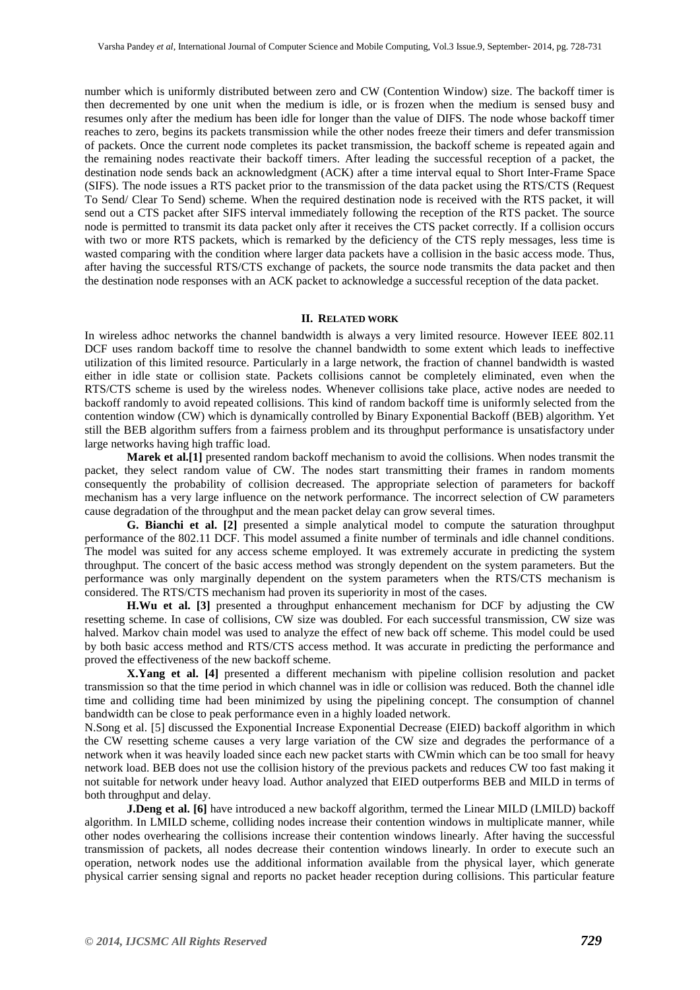number which is uniformly distributed between zero and CW (Contention Window) size. The backoff timer is then decremented by one unit when the medium is idle, or is frozen when the medium is sensed busy and resumes only after the medium has been idle for longer than the value of DIFS. The node whose backoff timer reaches to zero, begins its packets transmission while the other nodes freeze their timers and defer transmission of packets. Once the current node completes its packet transmission, the backoff scheme is repeated again and the remaining nodes reactivate their backoff timers. After leading the successful reception of a packet, the destination node sends back an acknowledgment (ACK) after a time interval equal to Short Inter-Frame Space (SIFS). The node issues a RTS packet prior to the transmission of the data packet using the RTS/CTS (Request To Send/ Clear To Send) scheme. When the required destination node is received with the RTS packet, it will send out a CTS packet after SIFS interval immediately following the reception of the RTS packet. The source node is permitted to transmit its data packet only after it receives the CTS packet correctly. If a collision occurs with two or more RTS packets, which is remarked by the deficiency of the CTS reply messages, less time is wasted comparing with the condition where larger data packets have a collision in the basic access mode. Thus, after having the successful RTS/CTS exchange of packets, the source node transmits the data packet and then the destination node responses with an ACK packet to acknowledge a successful reception of the data packet.

#### **II. RELATED WORK**

In wireless adhoc networks the channel bandwidth is always a very limited resource. However IEEE 802.11 DCF uses random backoff time to resolve the channel bandwidth to some extent which leads to ineffective utilization of this limited resource. Particularly in a large network, the fraction of channel bandwidth is wasted either in idle state or collision state. Packets collisions cannot be completely eliminated, even when the RTS/CTS scheme is used by the wireless nodes. Whenever collisions take place, active nodes are needed to backoff randomly to avoid repeated collisions. This kind of random backoff time is uniformly selected from the contention window (CW) which is dynamically controlled by Binary Exponential Backoff (BEB) algorithm. Yet still the BEB algorithm suffers from a fairness problem and its throughput performance is unsatisfactory under large networks having high traffic load.

**Marek et al.[1]** presented random backoff mechanism to avoid the collisions. When nodes transmit the packet, they select random value of CW. The nodes start transmitting their frames in random moments consequently the probability of collision decreased. The appropriate selection of parameters for backoff mechanism has a very large influence on the network performance. The incorrect selection of CW parameters cause degradation of the throughput and the mean packet delay can grow several times.

**G. Bianchi et al. [2]** presented a simple analytical model to compute the saturation throughput performance of the 802.11 DCF. This model assumed a finite number of terminals and idle channel conditions. The model was suited for any access scheme employed. It was extremely accurate in predicting the system throughput. The concert of the basic access method was strongly dependent on the system parameters. But the performance was only marginally dependent on the system parameters when the RTS/CTS mechanism is considered. The RTS/CTS mechanism had proven its superiority in most of the cases.

**H.Wu et al. [3]** presented a throughput enhancement mechanism for DCF by adjusting the CW resetting scheme. In case of collisions, CW size was doubled. For each successful transmission, CW size was halved. Markov chain model was used to analyze the effect of new back off scheme. This model could be used by both basic access method and RTS/CTS access method. It was accurate in predicting the performance and proved the effectiveness of the new backoff scheme.

**X.Yang et al. [4]** presented a different mechanism with pipeline collision resolution and packet transmission so that the time period in which channel was in idle or collision was reduced. Both the channel idle time and colliding time had been minimized by using the pipelining concept. The consumption of channel bandwidth can be close to peak performance even in a highly loaded network.

N.Song et al. [5] discussed the Exponential Increase Exponential Decrease (EIED) backoff algorithm in which the CW resetting scheme causes a very large variation of the CW size and degrades the performance of a network when it was heavily loaded since each new packet starts with CWmin which can be too small for heavy network load. BEB does not use the collision history of the previous packets and reduces CW too fast making it not suitable for network under heavy load. Author analyzed that EIED outperforms BEB and MILD in terms of both throughput and delay.

**J.Deng et al.** [6] have introduced a new backoff algorithm, termed the Linear MILD (LMILD) backoff algorithm. In LMILD scheme, colliding nodes increase their contention windows in multiplicate manner, while other nodes overhearing the collisions increase their contention windows linearly. After having the successful transmission of packets, all nodes decrease their contention windows linearly. In order to execute such an operation, network nodes use the additional information available from the physical layer, which generate physical carrier sensing signal and reports no packet header reception during collisions. This particular feature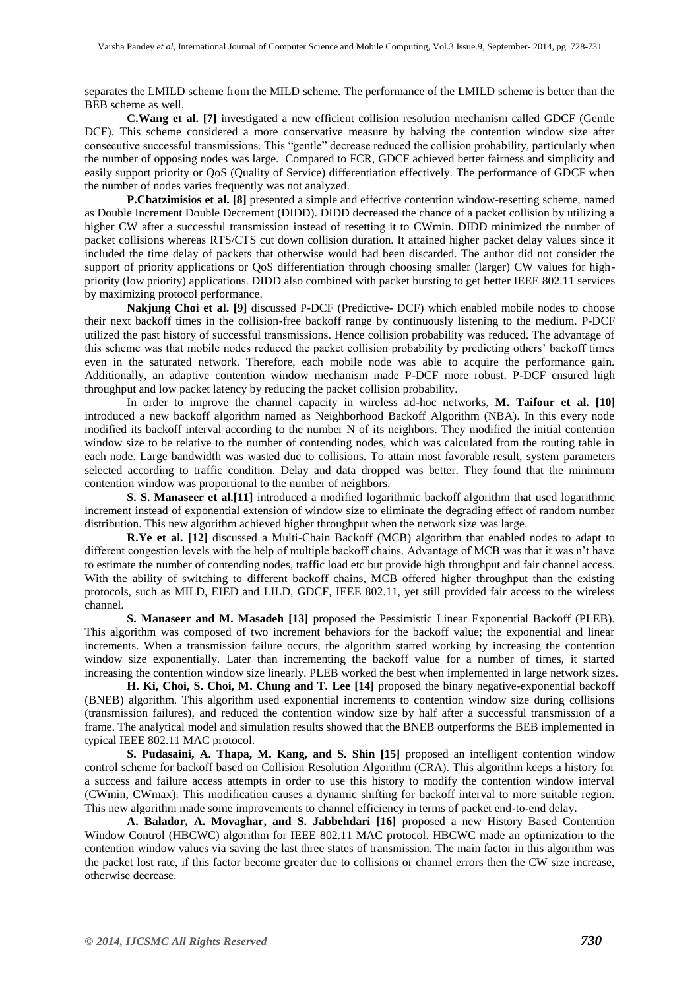separates the LMILD scheme from the MILD scheme. The performance of the LMILD scheme is better than the BEB scheme as well.

**C.Wang et al. [7]** investigated a new efficient collision resolution mechanism called GDCF (Gentle DCF). This scheme considered a more conservative measure by halving the contention window size after consecutive successful transmissions. This "gentle" decrease reduced the collision probability, particularly when the number of opposing nodes was large. Compared to FCR, GDCF achieved better fairness and simplicity and easily support priority or QoS (Quality of Service) differentiation effectively. The performance of GDCF when the number of nodes varies frequently was not analyzed.

**P.Chatzimisios et al. [8]** presented a simple and effective contention window-resetting scheme, named as Double Increment Double Decrement (DIDD). DIDD decreased the chance of a packet collision by utilizing a higher CW after a successful transmission instead of resetting it to CWmin. DIDD minimized the number of packet collisions whereas RTS/CTS cut down collision duration. It attained higher packet delay values since it included the time delay of packets that otherwise would had been discarded. The author did not consider the support of priority applications or QoS differentiation through choosing smaller (larger) CW values for highpriority (low priority) applications. DIDD also combined with packet bursting to get better IEEE 802.11 services by maximizing protocol performance.

**Nakjung Choi et al. [9]** discussed P-DCF (Predictive- DCF) which enabled mobile nodes to choose their next backoff times in the collision-free backoff range by continuously listening to the medium. P-DCF utilized the past history of successful transmissions. Hence collision probability was reduced. The advantage of this scheme was that mobile nodes reduced the packet collision probability by predicting others' backoff times even in the saturated network. Therefore, each mobile node was able to acquire the performance gain. Additionally, an adaptive contention window mechanism made P-DCF more robust. P-DCF ensured high throughput and low packet latency by reducing the packet collision probability.

In order to improve the channel capacity in wireless ad-hoc networks, **M. Taifour et al. [10]** introduced a new backoff algorithm named as Neighborhood Backoff Algorithm (NBA). In this every node modified its backoff interval according to the number N of its neighbors. They modified the initial contention window size to be relative to the number of contending nodes, which was calculated from the routing table in each node. Large bandwidth was wasted due to collisions. To attain most favorable result, system parameters selected according to traffic condition. Delay and data dropped was better. They found that the minimum contention window was proportional to the number of neighbors.

**S. S. Manaseer et al.[11]** introduced a modified logarithmic backoff algorithm that used logarithmic increment instead of exponential extension of window size to eliminate the degrading effect of random number distribution. This new algorithm achieved higher throughput when the network size was large.

**R.Ye et al.** [12] discussed a Multi-Chain Backoff (MCB) algorithm that enabled nodes to adapt to different congestion levels with the help of multiple backoff chains. Advantage of MCB was that it was n't have to estimate the number of contending nodes, traffic load etc but provide high throughput and fair channel access. With the ability of switching to different backoff chains, MCB offered higher throughput than the existing protocols, such as MILD, EIED and LILD, GDCF, IEEE 802.11, yet still provided fair access to the wireless channel.

**S. Manaseer and M. Masadeh [13]** proposed the Pessimistic Linear Exponential Backoff (PLEB). This algorithm was composed of two increment behaviors for the backoff value; the exponential and linear increments. When a transmission failure occurs, the algorithm started working by increasing the contention window size exponentially. Later than incrementing the backoff value for a number of times, it started increasing the contention window size linearly. PLEB worked the best when implemented in large network sizes.

**H. Ki, Choi, S. Choi, M. Chung and T. Lee [14]** proposed the binary negative-exponential backoff (BNEB) algorithm. This algorithm used exponential increments to contention window size during collisions (transmission failures), and reduced the contention window size by half after a successful transmission of a frame. The analytical model and simulation results showed that the BNEB outperforms the BEB implemented in typical IEEE 802.11 MAC protocol.

**S. Pudasaini, A. Thapa, M. Kang, and S. Shin [15]** proposed an intelligent contention window control scheme for backoff based on Collision Resolution Algorithm (CRA). This algorithm keeps a history for a success and failure access attempts in order to use this history to modify the contention window interval (CWmin, CWmax). This modification causes a dynamic shifting for backoff interval to more suitable region. This new algorithm made some improvements to channel efficiency in terms of packet end-to-end delay.

**A. Balador, A. Movaghar, and S. Jabbehdari [16]** proposed a new History Based Contention Window Control (HBCWC) algorithm for IEEE 802.11 MAC protocol. HBCWC made an optimization to the contention window values via saving the last three states of transmission. The main factor in this algorithm was the packet lost rate, if this factor become greater due to collisions or channel errors then the CW size increase, otherwise decrease.